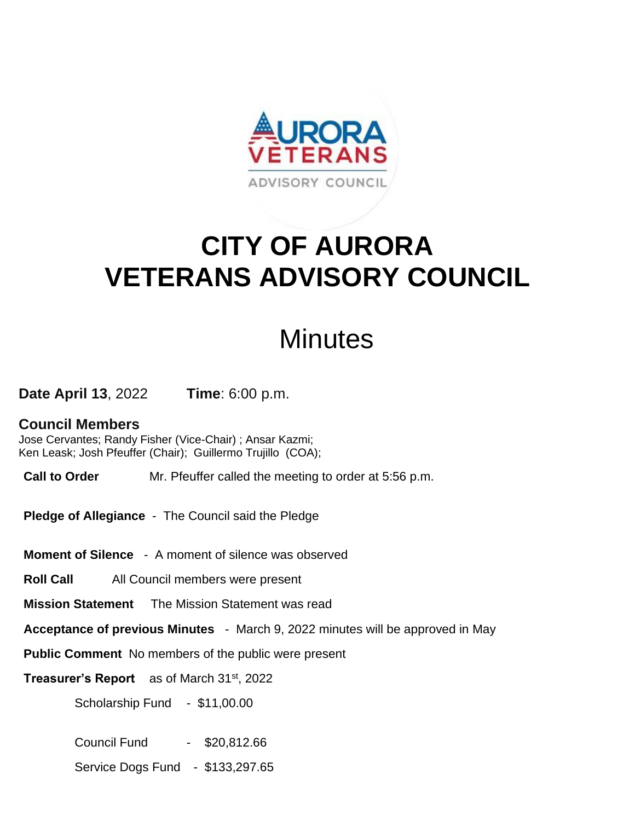

## **CITY OF AURORA VETERANS ADVISORY COUNCIL**

## **Minutes**

**Date April 13**, 2022 **Time**: 6:00 p.m.

## **Council Members**

Jose Cervantes; Randy Fisher (Vice-Chair) ; Ansar Kazmi; Ken Leask; Josh Pfeuffer (Chair); Guillermo Trujillo (COA);

**Call to Order** Mr. Pfeuffer called the meeting to order at 5:56 p.m.

**Pledge of Allegiance** - The Council said the Pledge

**Moment of Silence** - A moment of silence was observed

**Roll Call** All Council members were present

**Mission Statement** The Mission Statement was read

**Acceptance of previous Minutes** - March 9, 2022 minutes will be approved in May

**Public Comment** No members of the public were present

**Treasurer's Report** as of March 31st, 2022

Scholarship Fund - \$11,00.00

Council Fund - \$20,812.66

Service Dogs Fund - \$133,297.65